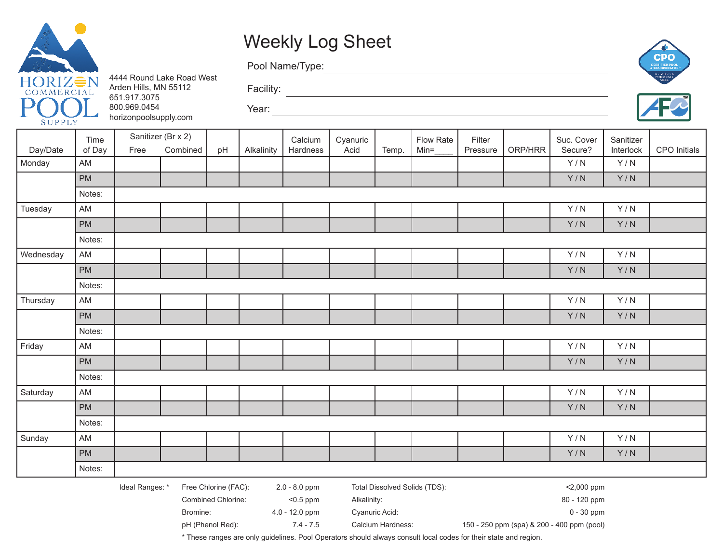

## Weekly Log Sheet

Pool Name/Type:

Year:

4444 Round Lake Road West Arden Hills, MN 55112 651.917.3075 800.969.0454 horizonpoolsupply.com





|           | Time          |                 | Sanitizer (Br x 2) |                      |            | Calcium       | Cyanuric |       | Flow Rate                     | Filter   |         | Suc. Cover | Sanitizer                           |              |
|-----------|---------------|-----------------|--------------------|----------------------|------------|---------------|----------|-------|-------------------------------|----------|---------|------------|-------------------------------------|--------------|
| Day/Date  | of Day        | Free            | Combined           | pH                   | Alkalinity | Hardness      | Acid     | Temp. | $Min=\underline{\qquad}$      | Pressure | ORP/HRR | Secure?    | Interlock                           | CPO Initials |
| Monday    | AM            |                 |                    |                      |            |               |          |       |                               |          |         | Y/N        | Y/N                                 |              |
|           | PM            |                 |                    |                      |            |               |          |       |                               |          |         | Y/N        | Y/N                                 |              |
|           | Notes:        |                 |                    |                      |            |               |          |       |                               |          |         |            |                                     |              |
| Tuesday   | AM            |                 |                    |                      |            |               |          |       |                               |          |         | Y/N        | Y/N                                 |              |
|           | PM            |                 |                    |                      |            |               |          |       |                               |          |         | Y/N        | Y/N                                 |              |
|           | Notes:        |                 |                    |                      |            |               |          |       |                               |          |         |            |                                     |              |
| Wednesday | $\mathsf{AM}$ |                 |                    |                      |            |               |          |       |                               |          |         | Y/N        | Y/N                                 |              |
|           | PM            |                 |                    |                      |            |               |          |       |                               |          |         | Y/N        | $\mathsf{Y} \mathbin{/} \mathsf{N}$ |              |
|           | Notes:        |                 |                    |                      |            |               |          |       |                               |          |         |            |                                     |              |
| Thursday  | AM            |                 |                    |                      |            |               |          |       |                               |          |         | Y/N        | Y/N                                 |              |
|           | PM            |                 |                    |                      |            |               |          |       |                               |          |         | Y/N        | Y/N                                 |              |
|           | Notes:        |                 |                    |                      |            |               |          |       |                               |          |         |            |                                     |              |
| Friday    | AM            |                 |                    |                      |            |               |          |       |                               |          |         | Y/N        | Y/N                                 |              |
|           | PM            |                 |                    |                      |            |               |          |       |                               |          |         | Y/N        | Y/N                                 |              |
|           | Notes:        |                 |                    |                      |            |               |          |       |                               |          |         |            |                                     |              |
| Saturday  | AM            |                 |                    |                      |            |               |          |       |                               |          |         | Y/N        | Y/N                                 |              |
|           | PM            |                 |                    |                      |            |               |          |       |                               |          |         | Y/N        | Y/N                                 |              |
|           | Notes:        |                 |                    |                      |            |               |          |       |                               |          |         |            |                                     |              |
| Sunday    | AM            |                 |                    |                      |            |               |          |       |                               |          |         | Y/N        | Y/N                                 |              |
|           | PM            |                 |                    |                      |            |               |          |       |                               |          |         | Y/N        | Y/N                                 |              |
|           | Notes:        |                 |                    |                      |            |               |          |       |                               |          |         |            |                                     |              |
|           |               | Ideal Ranges: * |                    | Free Chlorine (FAC): |            | 2.0 - 8.0 ppm |          |       | Total Dissolved Solids (TDS): |          |         | <2,000 ppm |                                     |              |

Facility: <u>Alexander State of the State of the State of the State of the State of the State of the State of the State of the State of the State of the State of the State of the State of the State of the State of the State </u>

<u> 1989 - Johann Barn, mars ann an t-Amhain Aonaich an t-Aonaich an t-Aonaich an t-Aonaich an t-Aonaich an t-Aon</u>

Combined Chlorine: <0.5 ppm Alkalinity: 80 - 120 ppm

Bromine: 4.0 - 12.0 ppm Cyanuric Acid: 1990 Cyanuric Acid: 0 - 30 ppm

pH (Phenol Red): 7.4 - 7.5 Calcium Hardness: 150 - 250 ppm (spa) & 200 - 400 ppm (pool)

\* These ranges are only guidelines. Pool Operators should always consult local codes for their state and region.